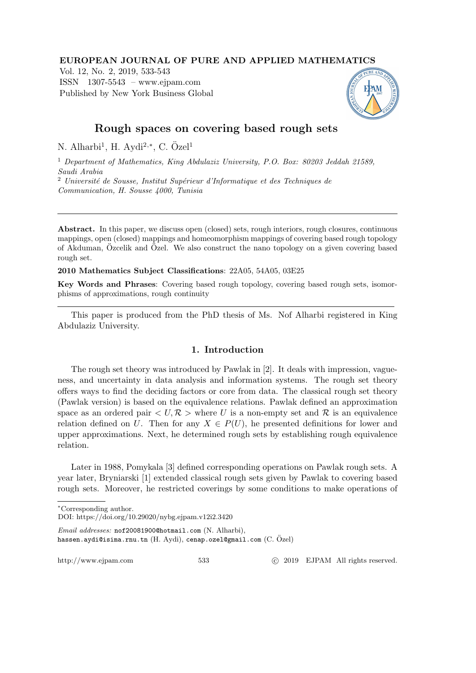# EUROPEAN JOURNAL OF PURE AND APPLIED MATHEMATICS

Vol. 12, No. 2, 2019, 533-543 ISSN 1307-5543 – www.ejpam.com Published by New York Business Global



# Rough spaces on covering based rough sets

N. Alharbi<sup>1</sup>, H. Aydi<sup>2,\*</sup>, C. Özel<sup>1</sup>

<sup>1</sup> Department of Mathematics, King Abdulaziz University, P.O. Box: 80203 Jeddah 21589, Saudi Arabia  $2$  Université de Sousse, Institut Supérieur d'Informatique et des Techniques de

Communication, H. Sousse 4000, Tunisia

Abstract. In this paper, we discuss open (closed) sets, rough interiors, rough closures, continuous mappings, open (closed) mappings and homeomorphism mappings of covering based rough topology of Akduman, Özcelik and Özel. We also construct the nano topology on a given covering based rough set.

2010 Mathematics Subject Classifications: 22A05, 54A05, 03E25

Key Words and Phrases: Covering based rough topology, covering based rough sets, isomorphisms of approximations, rough continuity

This paper is produced from the PhD thesis of Ms. Nof Alharbi registered in King Abdulaziz University.

# 1. Introduction

The rough set theory was introduced by Pawlak in [2]. It deals with impression, vagueness, and uncertainty in data analysis and information systems. The rough set theory offers ways to find the deciding factors or core from data. The classical rough set theory (Pawlak version) is based on the equivalence relations. Pawlak defined an approximation space as an ordered pair  $\langle U, \mathcal{R} \rangle$  where U is a non-empty set and R is an equivalence relation defined on U. Then for any  $X \in P(U)$ , he presented definitions for lower and upper approximations. Next, he determined rough sets by establishing rough equivalence relation.

Later in 1988, Pomykala [3] defined corresponding operations on Pawlak rough sets. A year later, Bryniarski [1] extended classical rough sets given by Pawlak to covering based rough sets. Moreover, he restricted coverings by some conditions to make operations of

DOI: https://doi.org/10.29020/nybg.ejpam.v12i2.3420

Email addresses: nof20081900@hotmail.com (N. Alharbi), hassen.aydi@isima.rnu.tn (H. Aydi), cenap.ozel@gmail.com  $(C.$   $Ozel)$ 

http://www.ejpam.com 533 c 2019 EJPAM All rights reserved.

<sup>∗</sup>Corresponding author.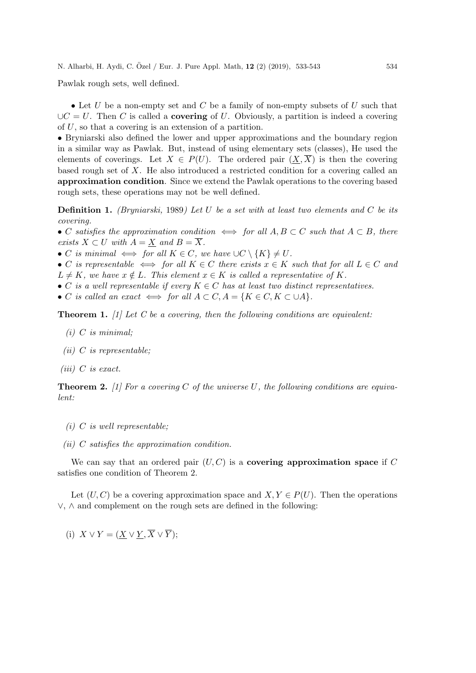Pawlak rough sets, well defined.

• Let U be a non-empty set and C be a family of non-empty subsets of U such that  $\bigcup C = U$ . Then C is called a **covering** of U. Obviously, a partition is indeed a covering of U, so that a covering is an extension of a partition.

• Bryniarski also defined the lower and upper approximations and the boundary region in a similar way as Pawlak. But, instead of using elementary sets (classes), He used the elements of coverings. Let  $X \in P(U)$ . The ordered pair  $(X, X)$  is then the covering based rough set of  $X$ . He also introduced a restricted condition for a covering called an approximation condition. Since we extend the Pawlak operations to the covering based rough sets, these operations may not be well defined.

**Definition 1.** (Bryniarski, 1989) Let U be a set with at least two elements and C be its covering.

• C satisfies the approximation condition  $\iff$  for all  $A, B \subset C$  such that  $A \subset B$ , there exists  $X \subset U$  with  $A = X$  and  $B = \overline{X}$ .

- C is minimal  $\iff$  for all  $K \in C$ , we have  $\bigcup C \setminus \{K\} \neq U$ .
- C is representable  $\iff$  for all  $K \in C$  there exists  $x \in K$  such that for all  $L \in C$  and
- $L \neq K$ , we have  $x \notin L$ . This element  $x \in K$  is called a representative of K.
- C is a well representable if every  $K \in \mathbb{C}$  has at least two distinct representatives.
- C is called an exact  $\iff$  for all  $A \subset C$ ,  $A = \{K \in C, K \subset \cup A\}.$

**Theorem 1.** [1] Let C be a covering, then the following conditions are equivalent:

- $(i)$  C is minimal;
- (*ii*) C is representable;
- (iii)  $C$  is exact.

**Theorem 2.** [1] For a covering C of the universe U, the following conditions are equivalent:

- $(i)$  C is well representable;
- (ii) C satisfies the approximation condition.

We can say that an ordered pair  $(U, C)$  is a **covering approximation space** if C satisfies one condition of Theorem 2.

Let  $(U, C)$  be a covering approximation space and  $X, Y \in P(U)$ . Then the operations ∨, ∧ and complement on the rough sets are defined in the following:

(i)  $X \vee Y = (X \vee Y, \overline{X} \vee \overline{Y});$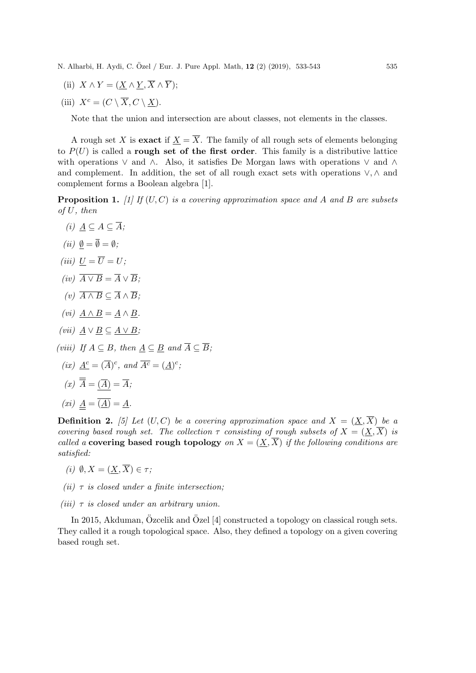(ii) 
$$
X \wedge Y = (\underline{X} \wedge \underline{Y}, X \wedge Y);
$$

(iii)  $X^c = (C \setminus \overline{X}, C \setminus X).$ 

Note that the union and intersection are about classes, not elements in the classes.

A rough set X is **exact** if  $X = \overline{X}$ . The family of all rough sets of elements belonging to  $P(U)$  is called a rough set of the first order. This family is a distributive lattice with operations ∨ and ∧. Also, it satisfies De Morgan laws with operations ∨ and ∧ and complement. In addition, the set of all rough exact sets with operations ∨, ∧ and complement forms a Boolean algebra [1].

**Proposition 1.** [1] If  $(U, C)$  is a covering approximation space and A and B are subsets of U, then

- (i)  $A \subseteq A \subseteq \overline{A}$ ;
- (ii)  $\emptyset = \overline{\emptyset} = \emptyset$ :
- (iii)  $U = \overline{U} = U$ ;
- (iv)  $\overline{A \vee B} = \overline{A} \vee \overline{B}$ :
- (v)  $\overline{A \wedge B} \subset \overline{A} \wedge \overline{B}$ :
- (vi)  $A \wedge B = A \wedge B$ .
- (vii)  $A \vee B \subseteq A \vee B$ ;
- (viii) If  $A \subseteq B$ , then  $A \subseteq B$  and  $\overline{A} \subseteq \overline{B}$ ;
	- (ix)  $\underline{A}^c = (\overline{A})^c$ , and  $\overline{A}^c = (\underline{A})^c$ ;
	- $(x) \overline{\overline{A}} = (\overline{A}) = \overline{A};$
- (xi)  $\underline{A} = \overline{(\underline{A})} = \underline{A}.$

**Definition 2.** [5] Let  $(U, C)$  be a covering approximation space and  $X = (\underline{X}, \overline{X})$  be a covering based rough set. The collection  $\tau$  consisting of rough subsets of  $X = (\underline{X}, \overline{X})$  is called a covering based rough topology on  $X = (X, \overline{X})$  if the following conditions are satisfied:

- (i)  $\emptyset, X = (X, \overline{X}) \in \tau$ ;
- (ii)  $\tau$  is closed under a finite intersection;
- (iii)  $\tau$  is closed under an arbitrary union.

In 2015, Akduman, Özcelik and Özel  $[4]$  constructed a topology on classical rough sets. They called it a rough topological space. Also, they defined a topology on a given covering based rough set.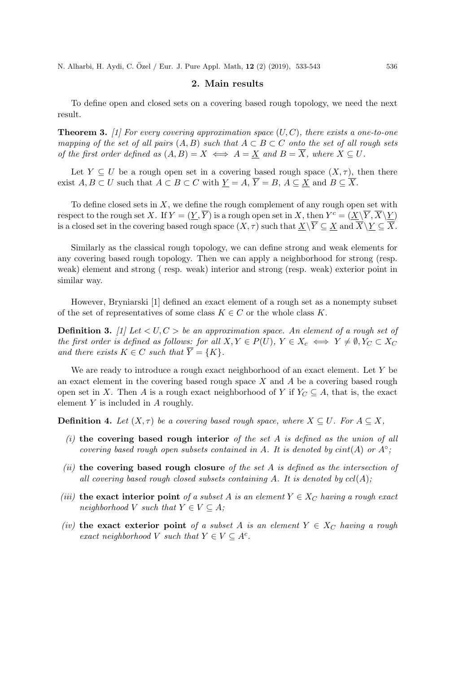# 2. Main results

To define open and closed sets on a covering based rough topology, we need the next result.

**Theorem 3.** [1] For every covering approximation space  $(U, C)$ , there exists a one-to-one mapping of the set of all pairs  $(A, B)$  such that  $A \subset B \subset C$  onto the set of all rough sets of the first order defined as  $(A, B) = X \iff A = \underline{X}$  and  $B = \overline{X}$ , where  $X \subseteq U$ .

Let  $Y \subseteq U$  be a rough open set in a covering based rough space  $(X, \tau)$ , then there exist  $A, B \subset U$  such that  $A \subset B \subset C$  with  $\underline{Y} = A$ ,  $\overline{Y} = B$ ,  $A \subseteq \underline{X}$  and  $B \subseteq \overline{X}$ .

To define closed sets in  $X$ , we define the rough complement of any rough open set with respect to the rough set X. If  $Y = (\underline{Y}, \overline{Y})$  is a rough open set in X, then  $Y^c = (\underline{X}\backslash \overline{Y}, \overline{X}\backslash \underline{Y})$ is a closed set in the covering based rough space  $(X, \tau)$  such that  $\underline{X}\backslash Y \subseteq \underline{X}$  and  $X\backslash \underline{Y} \subseteq X$ .

Similarly as the classical rough topology, we can define strong and weak elements for any covering based rough topology. Then we can apply a neighborhood for strong (resp. weak) element and strong ( resp. weak) interior and strong (resp. weak) exterior point in similar way.

However, Bryniarski [1] defined an exact element of a rough set as a nonempty subset of the set of representatives of some class  $K \in \mathbb{C}$  or the whole class K.

**Definition 3.** [1] Let  $\langle U, C \rangle$  be an approximation space. An element of a rough set of the first order is defined as follows: for all  $X, Y \in P(U)$ ,  $Y \in X_c \iff Y \neq \emptyset$ ,  $Y_C \subset X_C$ and there exists  $K \in C$  such that  $\overline{Y} = \{K\}.$ 

We are ready to introduce a rough exact neighborhood of an exact element. Let Y be an exact element in the covering based rough space  $X$  and  $A$  be a covering based rough open set in X. Then A is a rough exact neighborhood of Y if  $Y_C \subseteq A$ , that is, the exact element Y is included in A roughly.

**Definition 4.** Let  $(X, \tau)$  be a covering based rough space, where  $X \subseteq U$ . For  $A \subseteq X$ ,

- (i) the covering based rough interior of the set A is defined as the union of all covering based rough open subsets contained in A. It is denoted by  $\text{cint}(A)$  or  $A^\circ$ ;
- (ii) the covering based rough closure of the set A is defined as the intersection of all covering based rough closed subsets containing A. It is denoted by  $cl(A)$ ;
- (iii) the exact interior point of a subset A is an element  $Y \in X_C$  having a rough exact neighborhood V such that  $Y \in V \subseteq A$ ;
- (iv) the exact exterior point of a subset A is an element  $Y \in X_C$  having a rough exact neighborhood V such that  $Y \in V \subseteq A^c$ .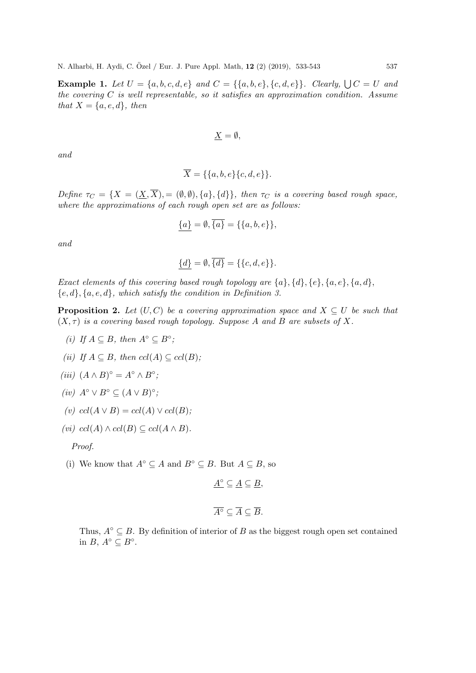**Example 1.** Let  $U = \{a, b, c, d, e\}$  and  $C = \{\{a, b, e\}, \{c, d, e\}\}\$ . Clearly,  $\bigcup C = U$  and the covering  $C$  is well representable, so it satisfies an approximation condition. Assume that  $X = \{a, e, d\}$ , then

$$
\underline{X} = \emptyset,
$$

and

$$
\overline{X} = \{\{a, b, e\}\{c, d, e\}\}.
$$

Define  $\tau_C = \{X = (\underline{X}, \overline{X}), \exists (\emptyset, \emptyset), \{a\}, \{d\}\}\$ , then  $\tau_C$  is a covering based rough space, where the approximations of each rough open set are as follows:

$$
\{a\} = \emptyset, \overline{\{a\}} = \{\{a, b, e\}\},\
$$

and

$$
\underline{\{d\}} = \emptyset, \overline{\{d\}} = \{\{c, d, e\}\}.
$$

Exact elements of this covering based rough topology are  $\{a\}, \{d\}, \{e\}, \{a, e\}, \{a, d\}$ ,  ${e, d}, {a, e, d},$  which satisfy the condition in Definition 3.

**Proposition 2.** Let  $(U, C)$  be a covering approximation space and  $X \subseteq U$  be such that  $(X, \tau)$  is a covering based rough topology. Suppose A and B are subsets of X.

- (i) If  $A \subseteq B$ , then  $A^{\circ} \subseteq B^{\circ}$ ;
- (ii) If  $A \subseteq B$ , then  $ccl(A) \subseteq ccl(B)$ ;
- (iii)  $(A \wedge B)^\circ = A^\circ \wedge B^\circ;$
- (iv)  $A^{\circ} \vee B^{\circ} \subseteq (A \vee B)^{\circ}$ ;
- (v)  $ccl(A \vee B) = ccl(A) \vee ccl(B);$
- (vi)  $ccl(A) \wedge ccl(B) \subseteq ccl(A \wedge B)$ .

Proof.

(i) We know that  $A^\circ \subseteq A$  and  $B^\circ \subseteq B$ . But  $A \subseteq B$ , so

 $\underline{A}^{\circ} \subseteq \underline{A} \subseteq \underline{B},$ 

$$
\overline{A^{\circ}} \subseteq \overline{A} \subseteq \overline{B}.
$$

Thus,  $A^\circ \subseteq B$ . By definition of interior of B as the biggest rough open set contained in  $B, A^{\circ} \subseteq B^{\circ}$ .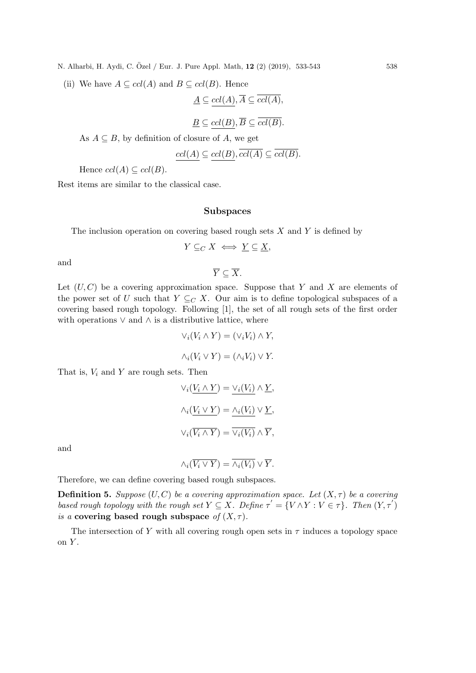(ii) We have  $A \subseteq \text{ccl}(A)$  and  $B \subseteq \text{ccl}(B)$ . Hence

$$
\underline{A} \subseteq \underline{ccl(A)}, \overline{A} \subseteq \underline{ccl(A)},
$$

$$
\underline{B} \subseteq \operatorname{ccl}(B), \overline{B} \subseteq \overline{\operatorname{ccl}(B)}.
$$

As  $A \subseteq B$ , by definition of closure of A, we get

$$
\underline{ccl(A)} \subseteq \underline{ccl(B)}, \overline{ccl(A)} \subseteq \overline{ccl(B)}.
$$

Hence  $ccl(A) \subseteq ccl(B)$ .

Rest items are similar to the classical case.

# Subspaces

The inclusion operation on covering based rough sets  $X$  and  $Y$  is defined by

$$
Y \subseteq_C X \iff \underline{Y} \subseteq \underline{X},
$$

and

 $\overline{Y} \subset \overline{X}$ .

Let  $(U, C)$  be a covering approximation space. Suppose that Y and X are elements of the power set of U such that  $Y \subseteq_C X$ . Our aim is to define topological subspaces of a covering based rough topology. Following [1], the set of all rough sets of the first order with operations  $\vee$  and  $\wedge$  is a distributive lattice, where

$$
\vee_i (V_i \wedge Y) = (\vee_i V_i) \wedge Y,
$$
  

$$
\wedge_i (V_i \vee Y) = (\wedge_i V_i) \vee Y.
$$
 That is,  $V_i$  and  $Y$  are rough sets. Then

$$
\forall_i (\underbrace{V_i \land Y}_{\lambda} ) = \underbrace{\vee_i (V_i)}_{\lambda_i} \land \underbrace{Y}_{\lambda},
$$

$$
\land_i (\underbrace{V_i \lor Y}_{\lambda} ) = \underbrace{\wedge_i (V_i)}_{\lambda_i} \lor \underbrace{Y}_{\lambda_i},
$$

$$
\forall_i (\overline{V_i \land Y}) = \overline{\vee_i (V_i)} \land \overline{Y}_{\lambda_i}.
$$

and

$$
\wedge_i(\overline{V_i \vee Y}) = \overline{\wedge_i(V_i)} \vee \overline{Y}.
$$

Therefore, we can define covering based rough subspaces.

**Definition 5.** Suppose  $(U, C)$  be a covering approximation space. Let  $(X, \tau)$  be a covering based rough topology with the rough set  $Y \subseteq X$ . Define  $\tau' = \{V \wedge Y : V \in \tau\}$ . Then  $(Y, \tau')$ is a covering based rough subspace of  $(X, \tau)$ .

The intersection of Y with all covering rough open sets in  $\tau$  induces a topology space on Y .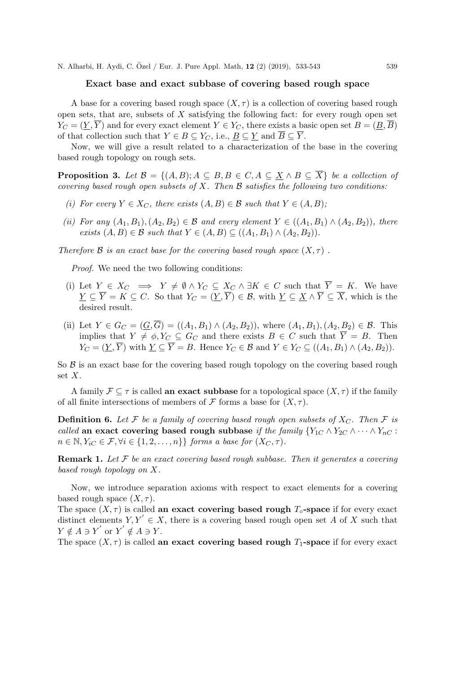# Exact base and exact subbase of covering based rough space

A base for a covering based rough space  $(X, \tau)$  is a collection of covering based rough open sets, that are, subsets of  $X$  satisfying the following fact: for every rough open set  $Y_C = (\underline{Y}, \overline{Y})$  and for every exact element  $Y \in Y_C$ , there exists a basic open set  $B = (\underline{B}, \overline{B})$ of that collection such that  $Y \in B \subseteq Y_C$ , i.e.,  $B \subseteq Y$  and  $\overline{B} \subseteq \overline{Y}$ .

Now, we will give a result related to a characterization of the base in the covering based rough topology on rough sets.

**Proposition 3.** Let  $\mathcal{B} = \{(A, B); A \subseteq B, B \in C, A \subseteq \underline{X} \wedge B \subseteq \overline{X}\}\$  be a collection of covering based rough open subsets of  $X$ . Then  $\mathcal B$  satisfies the following two conditions:

- (i) For every  $Y \in X_C$ , there exists  $(A, B) \in \mathcal{B}$  such that  $Y \in (A, B)$ ;
- (ii) For any  $(A_1, B_1), (A_2, B_2) \in \mathcal{B}$  and every element  $Y \in ((A_1, B_1) \wedge (A_2, B_2))$ , there exists  $(A, B) \in \mathcal{B}$  such that  $Y \in (A, B) \subseteq ((A_1, B_1) \wedge (A_2, B_2)).$

Therefore B is an exact base for the covering based rough space  $(X, \tau)$ .

Proof. We need the two following conditions:

- (i) Let  $Y \in X_C \implies Y \neq \emptyset \land Y_C \subseteq X_C \land \exists K \in C$  such that  $\overline{Y} = K$ . We have  $\underline{Y} \subseteq \overline{Y} = K \subseteq C$ . So that  $Y_C = (\underline{Y}, \overline{Y}) \in \mathcal{B}$ , with  $\underline{Y} \subseteq \underline{X} \wedge \overline{Y} \subseteq \overline{X}$ , which is the desired result.
- (ii) Let  $Y \in G_C = (\underline{G}, \overline{G}) = ((A_1, B_1) \wedge (A_2, B_2)),$  where  $(A_1, B_1), (A_2, B_2) \in \mathcal{B}$ . This implies that  $Y \neq \phi, Y_C \subseteq G_C$  and there exists  $B \in C$  such that  $\overline{Y} = B$ . Then  $Y_C = (Y, \overline{Y})$  with  $Y \subseteq \overline{Y} = B$ . Hence  $Y_C \in \mathcal{B}$  and  $Y \in Y_C \subseteq ((A_1, B_1) \wedge (A_2, B_2)).$

So  $\beta$  is an exact base for the covering based rough topology on the covering based rough set  $X$ .

A family  $\mathcal{F} \subseteq \tau$  is called an exact subbase for a topological space  $(X, \tau)$  if the family of all finite intersections of members of  $\mathcal F$  forms a base for  $(X, \tau)$ .

**Definition 6.** Let F be a family of covering based rough open subsets of  $X_C$ . Then F is called an exact covering based rough subbase if the family  ${Y_{1C} \wedge Y_{2C} \wedge \cdots \wedge Y_{nC}}$ :  $n \in \mathbb{N}, Y_{iC} \in \mathcal{F}, \forall i \in \{1, 2, \ldots, n\} \}$  forms a base for  $(X_C, \tau)$ .

**Remark 1.** Let  $\mathcal F$  be an exact covering based rough subbase. Then it generates a covering based rough topology on X.

Now, we introduce separation axioms with respect to exact elements for a covering based rough space  $(X, \tau)$ .

The space  $(X, \tau)$  is called an exact covering based rough  $T_{\circ}$ -space if for every exact distinct elements  $Y, Y' \in X$ , there is a covering based rough open set A of X such that  $Y \notin A \ni Y'$  or  $Y' \notin A \ni Y$ .

The space  $(X, \tau)$  is called an exact covering based rough  $T_1$ -space if for every exact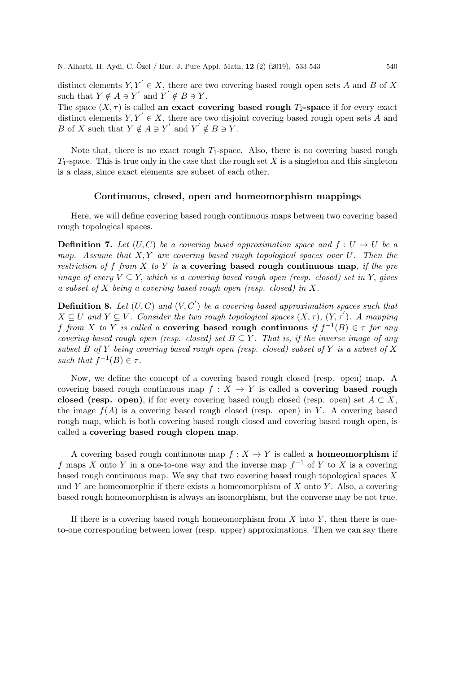distinct elements  $Y, Y' \in X$ , there are two covering based rough open sets A and B of X such that  $Y \notin A \ni Y'$  and  $Y' \notin B \ni Y$ .

The space  $(X, \tau)$  is called an exact covering based rough  $T_2$ -space if for every exact distinct elements  $Y, Y' \in X$ , there are two disjoint covering based rough open sets A and B of X such that  $Y \notin A \ni Y'$  and  $Y' \notin B \ni Y$ .

Note that, there is no exact rough  $T_1$ -space. Also, there is no covering based rough  $T_1$ -space. This is true only in the case that the rough set X is a singleton and this singleton is a class, since exact elements are subset of each other.

# Continuous, closed, open and homeomorphism mappings

Here, we will define covering based rough continuous maps between two covering based rough topological spaces.

**Definition 7.** Let  $(U, C)$  be a covering based approximation space and  $f : U \to U$  be a map. Assume that  $X, Y$  are covering based rough topological spaces over U. Then the restriction of f from X to Y is a covering based rough continuous map, if the pre image of every  $V \subseteq Y$ , which is a covering based rough open (resp. closed) set in Y, gives a subset of X being a covering based rough open (resp. closed) in X.

**Definition 8.** Let  $(U, C)$  and  $(V, C')$  be a covering based approximation spaces such that  $X \subseteq U$  and  $Y \subseteq V$ . Consider the two rough topological spaces  $(X, \tau)$ ,  $(Y, \tau')$ . A mapping f from X to Y is called a covering based rough continuous if  $f^{-1}(B) \in \tau$  for any covering based rough open (resp. closed) set  $B \subseteq Y$ . That is, if the inverse image of any subset B of Y being covering based rough open (resp. closed) subset of Y is a subset of X such that  $f^{-1}(B) \in \tau$ .

Now, we define the concept of a covering based rough closed (resp. open) map. A covering based rough continuous map  $f : X \to Y$  is called a **covering based rough** closed (resp. open), if for every covering based rough closed (resp. open) set  $A \subset X$ , the image  $f(A)$  is a covering based rough closed (resp. open) in Y. A covering based rough map, which is both covering based rough closed and covering based rough open, is called a covering based rough clopen map.

A covering based rough continuous map  $f: X \to Y$  is called a homeomorphism if f maps X onto Y in a one-to-one way and the inverse map  $f^{-1}$  of Y to X is a covering based rough continuous map. We say that two covering based rough topological spaces  $X$ and Y are homeomorphic if there exists a homeomorphism of X onto Y. Also, a covering based rough homeomorphism is always an isomorphism, but the converse may be not true.

If there is a covering based rough homeomorphism from  $X$  into  $Y$ , then there is oneto-one corresponding between lower (resp. upper) approximations. Then we can say there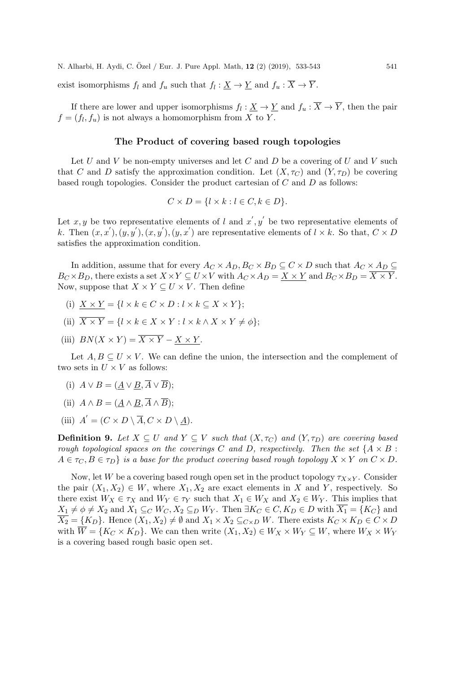exist isomorphisms  $f_l$  and  $f_u$  such that  $f_l : \underline{X} \to \underline{Y}$  and  $f_u : X \to Y$ .

If there are lower and upper isomorphisms  $f_l: \underline{X} \to \underline{Y}$  and  $f_u: \overline{X} \to \overline{Y}$ , then the pair  $f = (f_l, f_u)$  is not always a homomorphism from X to Y.

# The Product of covering based rough topologies

Let U and V be non-empty universes and let C and D be a covering of U and V such that C and D satisfy the approximation condition. Let  $(X, \tau_C)$  and  $(Y, \tau_D)$  be covering based rough topologies. Consider the product cartesian of  $C$  and  $D$  as follows:

$$
C \times D = \{ l \times k : l \in C, k \in D \}.
$$

Let x, y be two representative elements of l and  $x', y'$  be two representative elements of k. Then  $(x, x'), (y, y'), (x, y'), (y, x')$  are representative elements of  $l \times k$ . So that,  $C \times D$ satisfies the approximation condition.

In addition, assume that for every  $A_C \times A_D$ ,  $B_C \times B_D \subseteq C \times D$  such that  $A_C \times A_D \subseteq$  $B_C \times B_D$ , there exists a set  $X \times Y \subseteq U \times V$  with  $A_C \times A_D = X \times Y$  and  $B_C \times B_D = \overline{X \times Y}$ . Now, suppose that  $X \times Y \subseteq U \times V$ . Then define

- (i)  $X \times Y = \{l \times k \in C \times D : l \times k \subseteq X \times Y\};$
- (ii)  $\overline{X \times Y} = \{l \times k \in X \times Y : l \times k \wedge X \times Y \neq \phi\};$
- (iii)  $BN(X \times Y) = \overline{X \times Y} X \times Y$ .

Let  $A, B \subseteq U \times V$ . We can define the union, the intersection and the complement of two sets in  $U \times V$  as follows:

- (i)  $A \vee B = (A \vee B, \overline{A} \vee \overline{B});$
- (ii)  $A \wedge B = (A \wedge B, \overline{A} \wedge \overline{B})$ ;
- (iii)  $A' = (C \times D \setminus \overline{A}, C \times D \setminus \underline{A}).$

**Definition 9.** Let  $X \subseteq U$  and  $Y \subseteq V$  such that  $(X, \tau_C)$  and  $(Y, \tau_D)$  are covering based rough topological spaces on the coverings C and D, respectively. Then the set  $\{A \times B :$  $A \in \tau_C, B \in \tau_D$  is a base for the product covering based rough topology  $X \times Y$  on  $C \times D$ .

Now, let W be a covering based rough open set in the product topology  $\tau_{X\times Y}$ . Consider the pair  $(X_1, X_2) \in W$ , where  $X_1, X_2$  are exact elements in X and Y, respectively. So there exist  $W_X \in \tau_X$  and  $W_Y \in \tau_Y$  such that  $X_1 \in W_X$  and  $X_2 \in W_Y$ . This implies that  $X_1 \neq \emptyset \neq X_2$  and  $X_1 \subseteq_C W_C$ ,  $X_2 \subseteq_D W_Y$ . Then  $\exists K_C \in C, K_D \in D$  with  $\overline{X_1} = \{K_C\}$  and  $\overline{X_2} = \{K_D\}$ . Hence  $(X_1, X_2) \neq \emptyset$  and  $X_1 \times X_2 \subseteq_{C \times D} W$ . There exists  $K_C \times K_D \in C \times D$ with  $\overline{W} = \{K_C \times K_D\}$ . We can then write  $(X_1, X_2) \in W_X \times W_Y \subseteq W$ , where  $W_X \times W_Y$ is a covering based rough basic open set.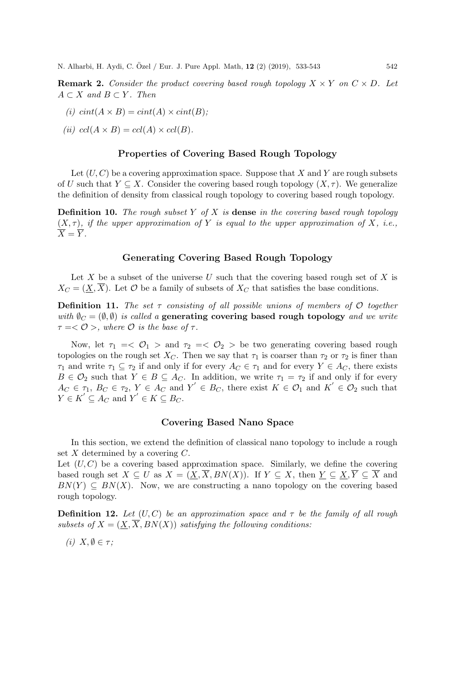**Remark 2.** Consider the product covering based rough topology  $X \times Y$  on  $C \times D$ . Let  $A \subset X$  and  $B \subset Y$ . Then

(i) 
$$
rint(A \times B) = cint(A) \times cint(B);
$$

(ii)  $ccl(A \times B) = ccl(A) \times ccl(B)$ .

#### Properties of Covering Based Rough Topology

Let  $(U, C)$  be a covering approximation space. Suppose that X and Y are rough subsets of U such that  $Y \subseteq X$ . Consider the covering based rough topology  $(X, \tau)$ . We generalize the definition of density from classical rough topology to covering based rough topology.

**Definition 10.** The rough subset Y of X is **dense** in the covering based rough topology  $(X, \tau)$ , if the upper approximation of Y is equal to the upper approximation of X, i.e.,  $\overline{X} = \overline{Y}$ .

# Generating Covering Based Rough Topology

Let X be a subset of the universe U such that the covering based rough set of X is  $X_C = (\underline{X}, \overline{X})$ . Let O be a family of subsets of  $X_C$  that satisfies the base conditions.

**Definition 11.** The set  $\tau$  consisting of all possible unions of members of  $\mathcal{O}$  together with  $\emptyset_C = (\emptyset, \emptyset)$  is called a generating covering based rough topology and we write  $\tau = <\mathcal{O}$ , where  $\mathcal O$  is the base of  $\tau$ .

Now, let  $\tau_1 = \langle \mathcal{O}_1 \rangle$  and  $\tau_2 = \langle \mathcal{O}_2 \rangle$  be two generating covering based rough topologies on the rough set  $X_C$ . Then we say that  $\tau_1$  is coarser than  $\tau_2$  or  $\tau_2$  is finer than  $\tau_1$  and write  $\tau_1 \subseteq \tau_2$  if and only if for every  $A_C \in \tau_1$  and for every  $Y \in A_C$ , there exists  $B \in \mathcal{O}_2$  such that  $Y \in B \subseteq A_C$ . In addition, we write  $\tau_1 = \tau_2$  if and only if for every  $A_C \in \tau_1, B_C \in \tau_2, Y \in A_C$  and  $Y' \in B_C$ , there exist  $K \in \mathcal{O}_1$  and  $K' \in \mathcal{O}_2$  such that  $Y \in K' \subseteq A_C$  and  $Y' \in K \subseteq B_C$ .

## Covering Based Nano Space

In this section, we extend the definition of classical nano topology to include a rough set  $X$  determined by a covering  $C$ .

Let  $(U, C)$  be a covering based approximation space. Similarly, we define the covering based rough set  $X \subseteq U$  as  $X = (\underline{X}, \overline{X}, BN(X))$ . If  $Y \subseteq X$ , then  $\underline{Y} \subseteq \underline{X}, \overline{Y} \subseteq \overline{X}$  and  $BN(Y) \subseteq BN(X)$ . Now, we are constructing a nano topology on the covering based rough topology.

**Definition 12.** Let  $(U, C)$  be an approximation space and  $\tau$  be the family of all rough subsets of  $X = (X, \overline{X}, BN(X))$  satisfying the following conditions:

(i)  $X, \emptyset \in \tau$ ;